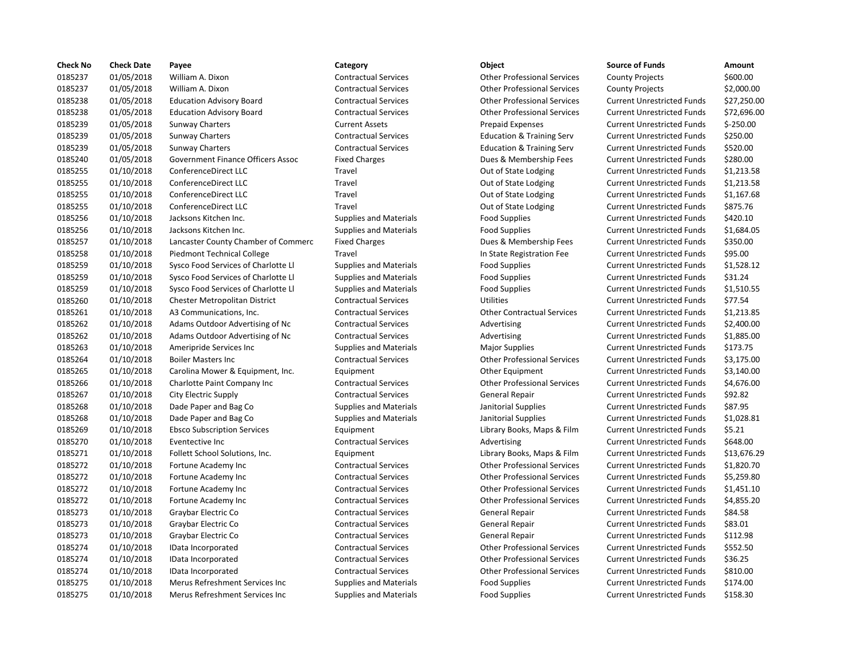| <b>Check No</b> | <b>Check Date</b> | Payee                               | Category                      | Object                               | <b>Source of Funds</b>            | Amount     |
|-----------------|-------------------|-------------------------------------|-------------------------------|--------------------------------------|-----------------------------------|------------|
| 0185237         | 01/05/2018        | William A. Dixon                    | <b>Contractual Services</b>   | <b>Other Professional Services</b>   | <b>County Projects</b>            | \$600.00   |
| 0185237         | 01/05/2018        | William A. Dixon                    | <b>Contractual Services</b>   | <b>Other Professional Services</b>   | <b>County Projects</b>            | \$2,000.0  |
| 0185238         | 01/05/2018        | <b>Education Advisory Board</b>     | <b>Contractual Services</b>   | <b>Other Professional Services</b>   | <b>Current Unrestricted Funds</b> | \$27,250   |
| 0185238         | 01/05/2018        | <b>Education Advisory Board</b>     | <b>Contractual Services</b>   | <b>Other Professional Services</b>   | <b>Current Unrestricted Funds</b> | \$72,696   |
| 0185239         | 01/05/2018        | <b>Sunway Charters</b>              | <b>Current Assets</b>         | <b>Prepaid Expenses</b>              | <b>Current Unrestricted Funds</b> | $$-250.00$ |
| 0185239         | 01/05/2018        | <b>Sunway Charters</b>              | <b>Contractual Services</b>   | <b>Education &amp; Training Serv</b> | <b>Current Unrestricted Funds</b> | \$250.00   |
| 0185239         | 01/05/2018        | <b>Sunway Charters</b>              | <b>Contractual Services</b>   | <b>Education &amp; Training Serv</b> | <b>Current Unrestricted Funds</b> | \$520.00   |
| 0185240         | 01/05/2018        | Government Finance Officers Assoc   | <b>Fixed Charges</b>          | Dues & Membership Fees               | <b>Current Unrestricted Funds</b> | \$280.00   |
| 0185255         | 01/10/2018        | ConferenceDirect LLC                | Travel                        | Out of State Lodging                 | <b>Current Unrestricted Funds</b> | \$1,213.5  |
| 0185255         | 01/10/2018        | ConferenceDirect LLC                | Travel                        | Out of State Lodging                 | <b>Current Unrestricted Funds</b> | \$1,213.5  |
| 0185255         | 01/10/2018        | ConferenceDirect LLC                | Travel                        | Out of State Lodging                 | <b>Current Unrestricted Funds</b> | \$1,167.6  |
| 0185255         | 01/10/2018        | ConferenceDirect LLC                | Travel                        | Out of State Lodging                 | <b>Current Unrestricted Funds</b> | \$875.76   |
| 0185256         | 01/10/2018        | Jacksons Kitchen Inc.               | <b>Supplies and Materials</b> | <b>Food Supplies</b>                 | <b>Current Unrestricted Funds</b> | \$420.10   |
| 0185256         | 01/10/2018        | Jacksons Kitchen Inc.               | <b>Supplies and Materials</b> | <b>Food Supplies</b>                 | <b>Current Unrestricted Funds</b> | \$1,684.0  |
| 0185257         | 01/10/2018        | Lancaster County Chamber of Commerc | <b>Fixed Charges</b>          | Dues & Membership Fees               | <b>Current Unrestricted Funds</b> | \$350.00   |
| 0185258         | 01/10/2018        | Piedmont Technical College          | Travel                        | In State Registration Fee            | <b>Current Unrestricted Funds</b> | \$95.00    |
| 0185259         | 01/10/2018        | Sysco Food Services of Charlotte Ll | <b>Supplies and Materials</b> | <b>Food Supplies</b>                 | <b>Current Unrestricted Funds</b> | \$1,528.1  |
| 0185259         | 01/10/2018        | Sysco Food Services of Charlotte Ll | <b>Supplies and Materials</b> | <b>Food Supplies</b>                 | <b>Current Unrestricted Funds</b> | \$31.24    |
| 0185259         | 01/10/2018        | Sysco Food Services of Charlotte Ll | <b>Supplies and Materials</b> | <b>Food Supplies</b>                 | <b>Current Unrestricted Funds</b> | \$1,510.5  |
| 0185260         | 01/10/2018        | Chester Metropolitan District       | <b>Contractual Services</b>   | Utilities                            | <b>Current Unrestricted Funds</b> | \$77.54    |
| 0185261         | 01/10/2018        | A3 Communications, Inc.             | <b>Contractual Services</b>   | <b>Other Contractual Services</b>    | <b>Current Unrestricted Funds</b> | \$1,213.8  |
| 0185262         | 01/10/2018        | Adams Outdoor Advertising of Nc     | <b>Contractual Services</b>   | Advertising                          | <b>Current Unrestricted Funds</b> | \$2,400.0  |
| 0185262         | 01/10/2018        | Adams Outdoor Advertising of Nc     | <b>Contractual Services</b>   | Advertising                          | <b>Current Unrestricted Funds</b> | \$1,885.0  |
| 0185263         | 01/10/2018        | Ameripride Services Inc             | <b>Supplies and Materials</b> | <b>Major Supplies</b>                | <b>Current Unrestricted Funds</b> | \$173.75   |
| 0185264         | 01/10/2018        | <b>Boiler Masters Inc</b>           | <b>Contractual Services</b>   | <b>Other Professional Services</b>   | <b>Current Unrestricted Funds</b> | \$3,175.0  |
| 0185265         | 01/10/2018        | Carolina Mower & Equipment, Inc.    | Equipment                     | Other Equipment                      | <b>Current Unrestricted Funds</b> | \$3,140.0  |
| 0185266         | 01/10/2018        | Charlotte Paint Company Inc         | <b>Contractual Services</b>   | <b>Other Professional Services</b>   | <b>Current Unrestricted Funds</b> | \$4,676.0  |
| 0185267         | 01/10/2018        | City Electric Supply                | <b>Contractual Services</b>   | <b>General Repair</b>                | <b>Current Unrestricted Funds</b> | \$92.82    |
| 0185268         | 01/10/2018        | Dade Paper and Bag Co               | <b>Supplies and Materials</b> | Janitorial Supplies                  | <b>Current Unrestricted Funds</b> | \$87.95    |
| 0185268         | 01/10/2018        | Dade Paper and Bag Co               | <b>Supplies and Materials</b> | Janitorial Supplies                  | <b>Current Unrestricted Funds</b> | \$1,028.8  |
| 0185269         | 01/10/2018        | <b>Ebsco Subscription Services</b>  | Equipment                     | Library Books, Maps & Film           | <b>Current Unrestricted Funds</b> | \$5.21     |
| 0185270         | 01/10/2018        | Eventective Inc                     | <b>Contractual Services</b>   | Advertising                          | <b>Current Unrestricted Funds</b> | \$648.00   |
| 0185271         | 01/10/2018        | Follett School Solutions, Inc.      | Equipment                     | Library Books, Maps & Film           | <b>Current Unrestricted Funds</b> | \$13,676   |
| 0185272         | 01/10/2018        | Fortune Academy Inc                 | <b>Contractual Services</b>   | <b>Other Professional Services</b>   | <b>Current Unrestricted Funds</b> | \$1,820.7  |
| 0185272         | 01/10/2018        | Fortune Academy Inc                 | <b>Contractual Services</b>   | <b>Other Professional Services</b>   | <b>Current Unrestricted Funds</b> | \$5,259.8  |
| 0185272         | 01/10/2018        | Fortune Academy Inc                 | <b>Contractual Services</b>   | <b>Other Professional Services</b>   | <b>Current Unrestricted Funds</b> | \$1,451.1  |
| 0185272         | 01/10/2018        | Fortune Academy Inc                 | <b>Contractual Services</b>   | <b>Other Professional Services</b>   | <b>Current Unrestricted Funds</b> | \$4,855.2  |
| 0185273         | 01/10/2018        | Graybar Electric Co                 | <b>Contractual Services</b>   | <b>General Repair</b>                | <b>Current Unrestricted Funds</b> | \$84.58    |
| 0185273         | 01/10/2018        | Graybar Electric Co                 | <b>Contractual Services</b>   | <b>General Repair</b>                | <b>Current Unrestricted Funds</b> | \$83.01    |
| 0185273         | 01/10/2018        | Graybar Electric Co                 | <b>Contractual Services</b>   | <b>General Repair</b>                | <b>Current Unrestricted Funds</b> | \$112.98   |
| 0185274         | 01/10/2018        |                                     | <b>Contractual Services</b>   | <b>Other Professional Services</b>   | <b>Current Unrestricted Funds</b> | \$552.50   |
| 0185274         |                   | IData Incorporated                  | <b>Contractual Services</b>   | <b>Other Professional Services</b>   | <b>Current Unrestricted Funds</b> | \$36.25    |
| 0185274         | 01/10/2018        | IData Incorporated                  | <b>Contractual Services</b>   | <b>Other Professional Services</b>   | <b>Current Unrestricted Funds</b> |            |
| 0185275         | 01/10/2018        | IData Incorporated                  |                               |                                      |                                   | \$810.00   |
|                 | 01/10/2018        | Merus Refreshment Services Inc      | <b>Supplies and Materials</b> | <b>Food Supplies</b>                 | <b>Current Unrestricted Funds</b> | \$174.00   |
| 0185275         | 01/10/2018        | Merus Refreshment Services Inc      | <b>Supplies and Materials</b> | <b>Food Supplies</b>                 | <b>Current Unrestricted Funds</b> | \$158.30   |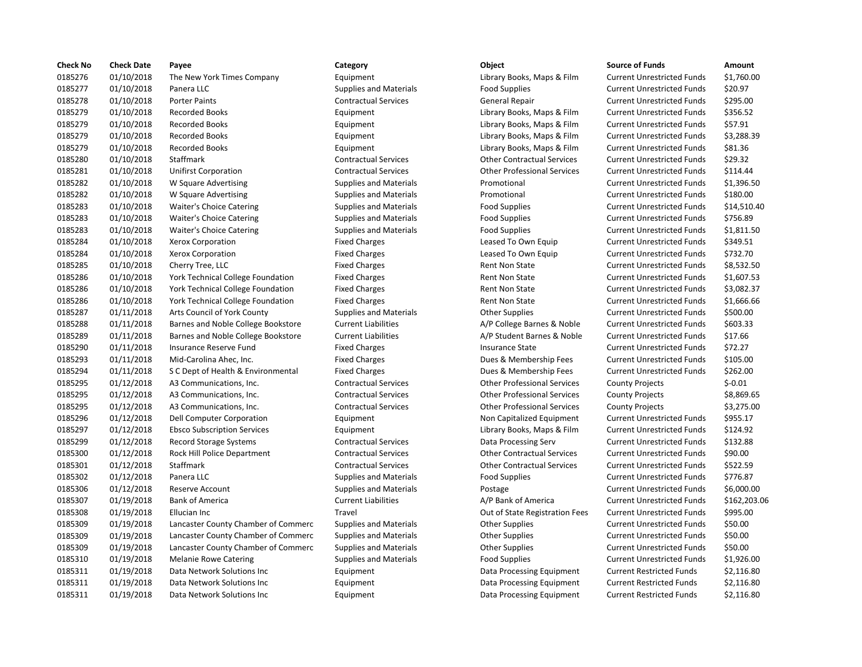| <b>Check No</b> | <b>Check Date</b> | Payee                               | Category                      | Object                             | <b>Source of Funds</b>            | Amount     |
|-----------------|-------------------|-------------------------------------|-------------------------------|------------------------------------|-----------------------------------|------------|
| 0185276         | 01/10/2018        | The New York Times Company          | Equipment                     | Library Books, Maps & Film         | <b>Current Unrestricted Funds</b> | \$1,760.00 |
| 0185277         | 01/10/2018        | Panera LLC                          | <b>Supplies and Materials</b> | <b>Food Supplies</b>               | <b>Current Unrestricted Funds</b> | \$20.97    |
| 0185278         | 01/10/2018        | <b>Porter Paints</b>                | <b>Contractual Services</b>   | <b>General Repair</b>              | <b>Current Unrestricted Funds</b> | \$295.00   |
| 0185279         | 01/10/2018        | <b>Recorded Books</b>               | Equipment                     | Library Books, Maps & Film         | <b>Current Unrestricted Funds</b> | \$356.52   |
| 0185279         | 01/10/2018        | <b>Recorded Books</b>               | Equipment                     | Library Books, Maps & Film         | <b>Current Unrestricted Funds</b> | \$57.91    |
| 0185279         | 01/10/2018        | <b>Recorded Books</b>               | Equipment                     | Library Books, Maps & Film         | <b>Current Unrestricted Funds</b> | \$3,288.39 |
| 0185279         | 01/10/2018        | <b>Recorded Books</b>               | Equipment                     | Library Books, Maps & Film         | <b>Current Unrestricted Funds</b> | \$81.36    |
| 0185280         | 01/10/2018        | Staffmark                           | <b>Contractual Services</b>   | <b>Other Contractual Services</b>  | <b>Current Unrestricted Funds</b> | \$29.32    |
| 0185281         | 01/10/2018        | <b>Unifirst Corporation</b>         | <b>Contractual Services</b>   | <b>Other Professional Services</b> | <b>Current Unrestricted Funds</b> | \$114.44   |
| 0185282         | 01/10/2018        | W Square Advertising                | <b>Supplies and Materials</b> | Promotional                        | <b>Current Unrestricted Funds</b> | \$1,396.50 |
| 0185282         | 01/10/2018        | W Square Advertising                | <b>Supplies and Materials</b> | Promotional                        | <b>Current Unrestricted Funds</b> | \$180.00   |
| 0185283         | 01/10/2018        | Waiter's Choice Catering            | <b>Supplies and Materials</b> | <b>Food Supplies</b>               | <b>Current Unrestricted Funds</b> | \$14,510.4 |
| 0185283         | 01/10/2018        | <b>Waiter's Choice Catering</b>     | <b>Supplies and Materials</b> | <b>Food Supplies</b>               | <b>Current Unrestricted Funds</b> | \$756.89   |
| 0185283         | 01/10/2018        | Waiter's Choice Catering            | <b>Supplies and Materials</b> | <b>Food Supplies</b>               | <b>Current Unrestricted Funds</b> | \$1,811.50 |
| 0185284         | 01/10/2018        | Xerox Corporation                   | <b>Fixed Charges</b>          | Leased To Own Equip                | <b>Current Unrestricted Funds</b> | \$349.51   |
| 0185284         | 01/10/2018        | Xerox Corporation                   | <b>Fixed Charges</b>          | Leased To Own Equip                | <b>Current Unrestricted Funds</b> | \$732.70   |
| 0185285         | 01/10/2018        | Cherry Tree, LLC                    | <b>Fixed Charges</b>          | Rent Non State                     | <b>Current Unrestricted Funds</b> | \$8,532.50 |
| 0185286         | 01/10/2018        | York Technical College Foundation   | <b>Fixed Charges</b>          | <b>Rent Non State</b>              | <b>Current Unrestricted Funds</b> | \$1,607.53 |
| 0185286         | 01/10/2018        | York Technical College Foundation   | <b>Fixed Charges</b>          | <b>Rent Non State</b>              | <b>Current Unrestricted Funds</b> | \$3,082.37 |
| 0185286         | 01/10/2018        | York Technical College Foundation   | <b>Fixed Charges</b>          | Rent Non State                     | <b>Current Unrestricted Funds</b> | \$1,666.66 |
| 0185287         | 01/11/2018        | Arts Council of York County         | <b>Supplies and Materials</b> | <b>Other Supplies</b>              | <b>Current Unrestricted Funds</b> | \$500.00   |
| 0185288         | 01/11/2018        | Barnes and Noble College Bookstore  | <b>Current Liabilities</b>    | A/P College Barnes & Noble         | <b>Current Unrestricted Funds</b> | \$603.33   |
| 0185289         | 01/11/2018        | Barnes and Noble College Bookstore  | <b>Current Liabilities</b>    | A/P Student Barnes & Noble         | <b>Current Unrestricted Funds</b> | \$17.66    |
| 0185290         | 01/11/2018        | Insurance Reserve Fund              | <b>Fixed Charges</b>          | <b>Insurance State</b>             | <b>Current Unrestricted Funds</b> | \$72.27    |
| 0185293         | 01/11/2018        | Mid-Carolina Ahec, Inc.             | <b>Fixed Charges</b>          | Dues & Membership Fees             | <b>Current Unrestricted Funds</b> | \$105.00   |
| 0185294         | 01/11/2018        | S C Dept of Health & Environmental  | <b>Fixed Charges</b>          | Dues & Membership Fees             | <b>Current Unrestricted Funds</b> | \$262.00   |
| 0185295         | 01/12/2018        | A3 Communications, Inc.             | <b>Contractual Services</b>   | <b>Other Professional Services</b> | <b>County Projects</b>            | $$-0.01$   |
| 0185295         | 01/12/2018        | A3 Communications, Inc.             | <b>Contractual Services</b>   | <b>Other Professional Services</b> | <b>County Projects</b>            | \$8,869.65 |
| 0185295         | 01/12/2018        | A3 Communications, Inc.             | <b>Contractual Services</b>   | <b>Other Professional Services</b> | <b>County Projects</b>            | \$3,275.00 |
| 0185296         | 01/12/2018        | Dell Computer Corporation           | Equipment                     | Non Capitalized Equipment          | <b>Current Unrestricted Funds</b> | \$955.17   |
| 0185297         | 01/12/2018        | <b>Ebsco Subscription Services</b>  | Equipment                     | Library Books, Maps & Film         | <b>Current Unrestricted Funds</b> | \$124.92   |
| 0185299         | 01/12/2018        | <b>Record Storage Systems</b>       | <b>Contractual Services</b>   | Data Processing Serv               | <b>Current Unrestricted Funds</b> | \$132.88   |
| 0185300         | 01/12/2018        | Rock Hill Police Department         | <b>Contractual Services</b>   | <b>Other Contractual Services</b>  | <b>Current Unrestricted Funds</b> | \$90.00    |
| 0185301         | 01/12/2018        | Staffmark                           | <b>Contractual Services</b>   | <b>Other Contractual Services</b>  | <b>Current Unrestricted Funds</b> | \$522.59   |
| 0185302         | 01/12/2018        | Panera LLC                          | <b>Supplies and Materials</b> | <b>Food Supplies</b>               | <b>Current Unrestricted Funds</b> | \$776.87   |
| 0185306         | 01/12/2018        | <b>Reserve Account</b>              | <b>Supplies and Materials</b> | Postage                            | <b>Current Unrestricted Funds</b> | \$6,000.00 |
| 0185307         | 01/19/2018        | <b>Bank of America</b>              | <b>Current Liabilities</b>    | A/P Bank of America                | <b>Current Unrestricted Funds</b> | \$162,203. |
| 0185308         | 01/19/2018        | Ellucian Inc                        | Travel                        | Out of State Registration Fees     | <b>Current Unrestricted Funds</b> | \$995.00   |
| 0185309         | 01/19/2018        | Lancaster County Chamber of Commerc | <b>Supplies and Materials</b> | <b>Other Supplies</b>              | <b>Current Unrestricted Funds</b> | \$50.00    |
| 0185309         | 01/19/2018        | Lancaster County Chamber of Commerc | <b>Supplies and Materials</b> | <b>Other Supplies</b>              | <b>Current Unrestricted Funds</b> | \$50.00    |
| 0185309         | 01/19/2018        | Lancaster County Chamber of Commerc | <b>Supplies and Materials</b> | <b>Other Supplies</b>              | <b>Current Unrestricted Funds</b> | \$50.00    |
| 0185310         | 01/19/2018        | <b>Melanie Rowe Catering</b>        | <b>Supplies and Materials</b> | <b>Food Supplies</b>               | <b>Current Unrestricted Funds</b> | \$1,926.00 |
| 0185311         | 01/19/2018        | Data Network Solutions Inc          | Equipment                     | Data Processing Equipment          | <b>Current Restricted Funds</b>   | \$2,116.80 |
| 0185311         | 01/19/2018        | Data Network Solutions Inc          | Equipment                     | Data Processing Equipment          | <b>Current Restricted Funds</b>   | \$2,116.80 |
| 0185311         | 01/19/2018        | Data Network Solutions Inc          | Equipment                     | Data Processing Equipment          | <b>Current Restricted Funds</b>   | \$2,116.80 |
|                 |                   |                                     |                               |                                    |                                   |            |

# Equipment **Example 21,760.00** Library Books, Maps & Film Current Unrestricted Funds \$1,760.00 0185277 01/10/2018 Panera LLC Supplies and Materials Food Supplies Current Unrestricted Funds \$20.97 Contractual Services **Contractual Services** General Repair Current Unrestricted Funds \$295.00 0185279 01/10/2018 Recorded Books Equipment Library Books, Maps & Film Current Unrestricted Funds \$356.52 0185279 01/10/2018 Recorded Books Equipment Library Books, Maps & Film Current Unrestricted Funds \$57.91 0185279 01/10/2018 Recorded Books Equipment Library Books, Maps & Film Current Unrestricted Funds \$3,288.39 0185279 01/10/2018 Recorded Books Equipment Library Books, Maps & Film Current Unrestricted Funds \$81.36 0185280 01/10/2018 Staffmark Contractual Services Other Contractual Services Current Unrestricted Funds \$29.32 0185281 01/10/2018 Unifirst Corporation Contractual Services Other Professional Services Current Unrestricted Funds \$114.44 0185282 01/10/2018 W Square Advertising Supplies and Materials Promotional Current Unrestricted Funds \$1,396.50 0185282 01/10/2018 W Square Advertising Supplies and Materials Promotional Current Unrestricted Funds \$180.00 Supplies and Materials **Example Supplies** Food Supplies Current Unrestricted Funds \$14,510.40 Supplies and Materials Thoice Communication Current Unrestricted Funds \$756.89 Supplies and Materials **EXALG WAITER COM** Food Supplies Current Unrestricted Funds 51,811.50 Fixed Charges **12.6 2018 Claused To Own Equip** Current Unrestricted Funds \$349.51 Fixed Charges **12.2018 IDEAD CORPORT CORPORATION CURRENT CONTEGRATION CURRENT CONTEGRATION** Current Unrestricted Funds \$732.70 Fixed Charges **1285 12018 12018 Current Unrestricted Funds** 58,532.50 Fixed Charges **1,607.53** Rent Non State **Foundation Fixed Current Unrestricted Funds** \$1,607.53 Fixed Charges Technical College Foundation Fixed Current Unrestricted Funds \$3,082.37 Fixed Charges **1.666.66 Rent Non State** Current Unrestricted Funds \$1,666.66 Supplies and Materials **Communist Council of Council of Council of Current Unrestricted Funds** \$500.00 Current Liabilities **A/P** College Barnes & Noble Current Unrestricted Funds \$603.33 0185289 01/11/2018 Barnes and Noble College Bookstore Current Liabilities A/P Student Barnes & Noble Current Unrestricted Funds \$17.66 Fixed Charges **1.2018 Insurance State** Current Unrestricted Funds \$72.27 Fixed Charges **2018** 2018 Dues & Membership Fees Current Unrestricted Funds \$105.00 Fixed Charges **262.00** Dues & Membership Fees Current Unrestricted Funds \$262.00 Contractual Services **12.53 Communications** Other Professional Services County Projects Contractual Services 5-0.01 Contractual Services **Communications** Other Professional Services County Projects \$8,869.65 Contractual Services **1202 Contractual Services** Other Professional Services County Projects 53,275.00 Equipment **12018 12/2018 Delta Computer Constructs** Current Unrestricted Funds \$955.17 0185297 01/12/2018 Ebsco Subscription Services Equipment Library Books, Maps & Film Current Unrestricted Funds \$124.92 0185299 01/12/2018 Record Storage Systems Contractual Services Data Processing Serv Current Unrestricted Funds \$132.88 0185300 01/12/2018 Rock Hill Police Department Contractual Services Other Contractual Services Current Unrestricted Funds \$90.00 0185301 01/12/2018 Staffmark Contractual Services Other Contractual Services Current Unrestricted Funds \$522.59 0185302 01/12/2018 Panera LLC Supplies and Materials Food Supplies Current Unrestricted Funds \$776.87 0185306 01/12/2018 Reserve Account Supplies and Materials Postage Current Unrestricted Funds \$6,000.00 0185307 01/19/2018 Bank of America Current Liabilities A/P Bank of America Current Unrestricted Funds \$162,203.06 Travel **2018** Out of State Registration Fees Current Unrestricted Funds \$995.00 Supplies and Materials **Commercials** Current Unrestricted Funds 550.00 Supplies and Materials **Commercials** Current Unrestricted Funds \$50.00 0185309 01/19/2018 Lancaster County Chamber of Commerc Supplies and Materials Other Supplies Current Unrestricted Funds \$50.00 0185310 01/19/2018 Melanie Rowe Catering Supplies and Materials Food Supplies Current Unrestricted Funds \$1,926.00 Equipment Data Processing Equipment Current Restricted Funds \$2,116.80 Equipment Current Equipment Data Processing Equipment Current Restricted Funds \$2,116.80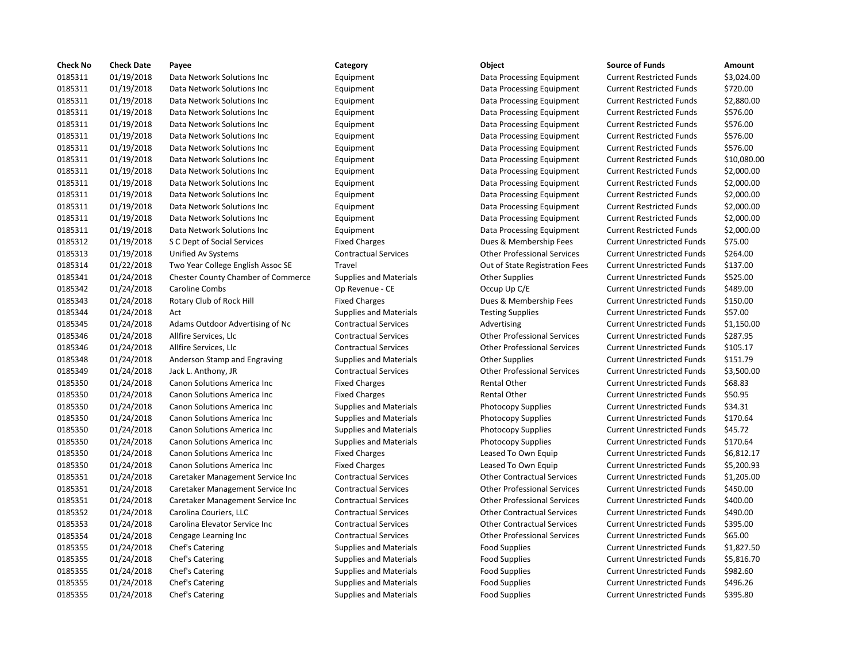| Check No | <b>Check Date</b> | Payee                                     | Category                      | Object                             | <b>Source of Funds</b>            | Amount    |
|----------|-------------------|-------------------------------------------|-------------------------------|------------------------------------|-----------------------------------|-----------|
| 0185311  | 01/19/2018        | Data Network Solutions Inc                | Equipment                     | Data Processing Equipment          | <b>Current Restricted Funds</b>   | \$3,024.0 |
| 0185311  | 01/19/2018        | Data Network Solutions Inc                | Equipment                     | Data Processing Equipment          | <b>Current Restricted Funds</b>   | \$720.00  |
| 0185311  | 01/19/2018        | Data Network Solutions Inc                | Equipment                     | Data Processing Equipment          | <b>Current Restricted Funds</b>   | \$2,880.0 |
| 0185311  | 01/19/2018        | Data Network Solutions Inc                | Equipment                     | Data Processing Equipment          | <b>Current Restricted Funds</b>   | \$576.00  |
| 0185311  | 01/19/2018        | Data Network Solutions Inc                | Equipment                     | Data Processing Equipment          | <b>Current Restricted Funds</b>   | \$576.00  |
| 0185311  | 01/19/2018        | Data Network Solutions Inc                | Equipment                     | Data Processing Equipment          | <b>Current Restricted Funds</b>   | \$576.00  |
| 0185311  | 01/19/2018        | Data Network Solutions Inc                | Equipment                     | Data Processing Equipment          | <b>Current Restricted Funds</b>   | \$576.00  |
| 0185311  | 01/19/2018        | Data Network Solutions Inc                | Equipment                     | Data Processing Equipment          | <b>Current Restricted Funds</b>   | \$10,080  |
| 0185311  | 01/19/2018        | Data Network Solutions Inc                | Equipment                     | Data Processing Equipment          | <b>Current Restricted Funds</b>   | \$2,000.0 |
| 0185311  | 01/19/2018        | Data Network Solutions Inc                | Equipment                     | Data Processing Equipment          | <b>Current Restricted Funds</b>   | \$2,000.0 |
| 0185311  | 01/19/2018        | Data Network Solutions Inc                | Equipment                     | Data Processing Equipment          | <b>Current Restricted Funds</b>   | \$2,000.0 |
| 0185311  | 01/19/2018        | Data Network Solutions Inc                | Equipment                     | Data Processing Equipment          | <b>Current Restricted Funds</b>   | \$2,000.0 |
| 0185311  | 01/19/2018        | Data Network Solutions Inc                | Equipment                     | Data Processing Equipment          | <b>Current Restricted Funds</b>   | \$2,000.0 |
| 0185311  | 01/19/2018        | Data Network Solutions Inc                | Equipment                     | Data Processing Equipment          | <b>Current Restricted Funds</b>   | \$2,000.0 |
| 0185312  | 01/19/2018        | S C Dept of Social Services               | <b>Fixed Charges</b>          | Dues & Membership Fees             | <b>Current Unrestricted Funds</b> | \$75.00   |
| 0185313  | 01/19/2018        | Unified Av Systems                        | <b>Contractual Services</b>   | <b>Other Professional Services</b> | <b>Current Unrestricted Funds</b> | \$264.00  |
| 0185314  | 01/22/2018        | Two Year College English Assoc SE         | Travel                        | Out of State Registration Fees     | <b>Current Unrestricted Funds</b> | \$137.00  |
| 0185341  | 01/24/2018        | <b>Chester County Chamber of Commerce</b> | <b>Supplies and Materials</b> | <b>Other Supplies</b>              | <b>Current Unrestricted Funds</b> | \$525.00  |
| 0185342  | 01/24/2018        | Caroline Combs                            | Op Revenue - CE               | Occup Up C/E                       | <b>Current Unrestricted Funds</b> | \$489.00  |
| 0185343  | 01/24/2018        | Rotary Club of Rock Hill                  | <b>Fixed Charges</b>          | Dues & Membership Fees             | <b>Current Unrestricted Funds</b> | \$150.00  |
| 0185344  | 01/24/2018        | Act                                       | <b>Supplies and Materials</b> | <b>Testing Supplies</b>            | <b>Current Unrestricted Funds</b> | \$57.00   |
| 0185345  | 01/24/2018        | Adams Outdoor Advertising of Nc           | <b>Contractual Services</b>   | Advertising                        | <b>Current Unrestricted Funds</b> | \$1,150.0 |
| 0185346  | 01/24/2018        | Allfire Services, Llc                     | <b>Contractual Services</b>   | <b>Other Professional Services</b> | <b>Current Unrestricted Funds</b> | \$287.95  |
| 0185346  | 01/24/2018        | Allfire Services, Llc                     | <b>Contractual Services</b>   | <b>Other Professional Services</b> | <b>Current Unrestricted Funds</b> | \$105.17  |
| 0185348  | 01/24/2018        | Anderson Stamp and Engraving              | <b>Supplies and Materials</b> | <b>Other Supplies</b>              | <b>Current Unrestricted Funds</b> | \$151.79  |
| 0185349  | 01/24/2018        | Jack L. Anthony, JR                       | <b>Contractual Services</b>   | <b>Other Professional Services</b> | <b>Current Unrestricted Funds</b> | \$3,500.0 |
| 0185350  | 01/24/2018        | Canon Solutions America Inc               | <b>Fixed Charges</b>          | <b>Rental Other</b>                | <b>Current Unrestricted Funds</b> | \$68.83   |
| 0185350  | 01/24/2018        | Canon Solutions America Inc               | <b>Fixed Charges</b>          | <b>Rental Other</b>                | <b>Current Unrestricted Funds</b> | \$50.95   |
| 0185350  | 01/24/2018        | Canon Solutions America Inc               | <b>Supplies and Materials</b> | <b>Photocopy Supplies</b>          | <b>Current Unrestricted Funds</b> | \$34.31   |
| 0185350  | 01/24/2018        | Canon Solutions America Inc               | <b>Supplies and Materials</b> | Photocopy Supplies                 | <b>Current Unrestricted Funds</b> | \$170.64  |
| 0185350  | 01/24/2018        | Canon Solutions America Inc               | <b>Supplies and Materials</b> | <b>Photocopy Supplies</b>          | <b>Current Unrestricted Funds</b> | \$45.72   |
| 0185350  | 01/24/2018        | Canon Solutions America Inc               | <b>Supplies and Materials</b> | <b>Photocopy Supplies</b>          | <b>Current Unrestricted Funds</b> | \$170.64  |
| 0185350  | 01/24/2018        | Canon Solutions America Inc               | <b>Fixed Charges</b>          | Leased To Own Equip                | <b>Current Unrestricted Funds</b> | \$6,812.1 |
| 0185350  | 01/24/2018        | Canon Solutions America Inc               | <b>Fixed Charges</b>          | Leased To Own Equip                | <b>Current Unrestricted Funds</b> | \$5,200.9 |
| 0185351  | 01/24/2018        | Caretaker Management Service Inc          | <b>Contractual Services</b>   | <b>Other Contractual Services</b>  | <b>Current Unrestricted Funds</b> | \$1,205.0 |
| 0185351  | 01/24/2018        | Caretaker Management Service Inc          | <b>Contractual Services</b>   | <b>Other Professional Services</b> | <b>Current Unrestricted Funds</b> | \$450.00  |
| 0185351  | 01/24/2018        | Caretaker Management Service Inc          | <b>Contractual Services</b>   | <b>Other Professional Services</b> | <b>Current Unrestricted Funds</b> | \$400.00  |
| 0185352  | 01/24/2018        | Carolina Couriers, LLC                    | <b>Contractual Services</b>   | <b>Other Contractual Services</b>  | <b>Current Unrestricted Funds</b> | \$490.00  |
| 0185353  | 01/24/2018        | Carolina Elevator Service Inc             | <b>Contractual Services</b>   | <b>Other Contractual Services</b>  | <b>Current Unrestricted Funds</b> | \$395.00  |
| 0185354  | 01/24/2018        | Cengage Learning Inc                      | <b>Contractual Services</b>   | <b>Other Professional Services</b> | <b>Current Unrestricted Funds</b> | \$65.00   |
| 0185355  | 01/24/2018        | Chef's Catering                           | <b>Supplies and Materials</b> | <b>Food Supplies</b>               | <b>Current Unrestricted Funds</b> | \$1,827.5 |
| 0185355  | 01/24/2018        | Chef's Catering                           | <b>Supplies and Materials</b> | <b>Food Supplies</b>               | <b>Current Unrestricted Funds</b> | \$5,816.7 |
| 0185355  | 01/24/2018        | Chef's Catering                           | <b>Supplies and Materials</b> | <b>Food Supplies</b>               | <b>Current Unrestricted Funds</b> | \$982.60  |
| 0185355  | 01/24/2018        | Chef's Catering                           | <b>Supplies and Materials</b> | <b>Food Supplies</b>               | <b>Current Unrestricted Funds</b> | \$496.26  |
| 0185355  | 01/24/2018        | Chef's Catering                           | <b>Supplies and Materials</b> | <b>Food Supplies</b>               | <b>Current Unrestricted Funds</b> | \$395.80  |
|          |                   |                                           |                               |                                    |                                   |           |

## Equipment Current Equipment Data Processing Equipment Current Restricted Funds \$3,024.00 0185311 01/19/2018 Data Network Solutions Inc Equipment Data Processing Equipment Current Restricted Funds \$720.00 Equipment Current Equipment Data Processing Equipment Current Restricted Funds \$2,880.00 0185311 01/19/2018 Data Network Solutions Inc Equipment Data Processing Equipment Current Restricted Funds \$576.00 0185311 01/19/2018 Data Network Solutions Inc Equipment Data Processing Equipment Current Restricted Funds \$576.00 0185311 01/19/2018 Data Network Solutions Inc Equipment Data Processing Equipment Current Restricted Funds \$576.00 0185311 01/19/2018 Data Network Solutions Inc Equipment Data Processing Equipment Current Restricted Funds \$576.00 Equipment **12131 1111 Data Processing Equipment** Current Restricted Funds \$10,080.00 Equipment Current Equipment Data Processing Equipment Current Restricted Funds \$2,000.00 0185311 01/19/2018 Data Network Solutions Inc Equipment Data Processing Equipment Current Restricted Funds \$2,000.00 0185311 01/19/2018 Data Network Solutions Inc Equipment Data Processing Equipment Current Restricted Funds \$2,000.00 Equipment Current Current Restricted Funds 52,000.00 0185311 01/19/2018 Data Network Solutions Inc Equipment Data Processing Equipment Current Restricted Funds \$2,000.00 0185311 01/19/2018 Data Network Solutions Inc Equipment Data Processing Equipment Current Restricted Funds \$2,000.00 Fixed Charges **State of Charges Current Unrestricted Funds** \$75.00 0185313 01/19/2018 Unified Av Systems Contractual Services Other Professional Services Current Unrestricted Funds \$264.00 Travel **Travel English Associate English Associate Associate College English Associate Current Unrestricted Funds \$137.00** ce Supplies and Materials **Chamber Other Supplies** Current Unrestricted Funds \$525.00 Op Revenue - CE Current Unrestricted Funds 5489.00 Fixed Charges **211 Club of Alle Charges** Dues & Membership Fees Current Unrestricted Funds \$150.00 0185344 01/24/2018 Act Supplies and Materials Testing Supplies Current Unrestricted Funds \$57.00 Ontractual Services **Current Unrestricted Funds** 51,150.00 0185346 01/24/2018 Allfire Services, Llc Contractual Services Other Professional Services Current Unrestricted Funds \$287.95 0185346 01/24/2018 Allfire Services, Llc Contractual Services Other Professional Services Current Unrestricted Funds \$105.17 Supplies and Materials **Current Supplies** Current Unrestricted Funds \$151.79 0185349 01/24/2018 Jack L. Anthony, JR Contractual Services Other Professional Services Current Unrestricted Funds \$3,500.00 Fixed Charges The Current Unrestricted Funds America Inc. Fixed Charges Rental Other Current Unrestricted Funds \$68.83 Fixed Charges **1.24-1.2018 Canon Solutions America** Inc. Fixed Charges Rental Other Current Unrestricted Funds \$50.95 Supplies and Materials **Current Inc Solutions America** Current Unrestricted Funds \$34.31 Supplies and Materials **Current Unrestricted Funds** 5170.64 Supplies and Materials **Current Unrestricted Funds** 545.72 Supplies and Materials **Canon Supplies Current Unrestricted Funds** 5170.64 Fixed Charges **Canon Canon Solutions America Inc.** Current Unrestricted Funds \$6,812.17 Fixed Charges **Canon Canon Solutions America Inc.** Current Unrestricted Funds \$5,200.93 Contractual Services **Careta Contractual Services** Current Unrestricted Funds \$1,205.00 Contractual Services **Careta Contractual Services** Other Professional Services Current Unrestricted Funds \$450.00 Contractual Services **Careta Contractual Services** Other Professional Services Current Unrestricted Funds \$400.00 0185352 01/24/2018 Carolina Couriers, LLC Contractual Services Other Contractual Services Current Unrestricted Funds \$490.00 Contractual Services **1.24.1918 Contractual Services** Current Unrestricted Funds 5395.00 0185354 01/24/2018 Cengage Learning Inc Contractual Services Other Professional Services Current Unrestricted Funds \$65.00 0185355 01/24/2018 Chef's Catering Supplies and Materials Food Supplies Current Unrestricted Funds \$1,827.50 0185355 01/24/2018 Chef's Catering Supplies and Materials Food Supplies Current Unrestricted Funds \$5,816.70 Supplies and Materials **Current Unrestricted Funds** 5982.60 0185355 01/24/2018 Chef's Catering Supplies and Materials Food Supplies Current Unrestricted Funds \$496.26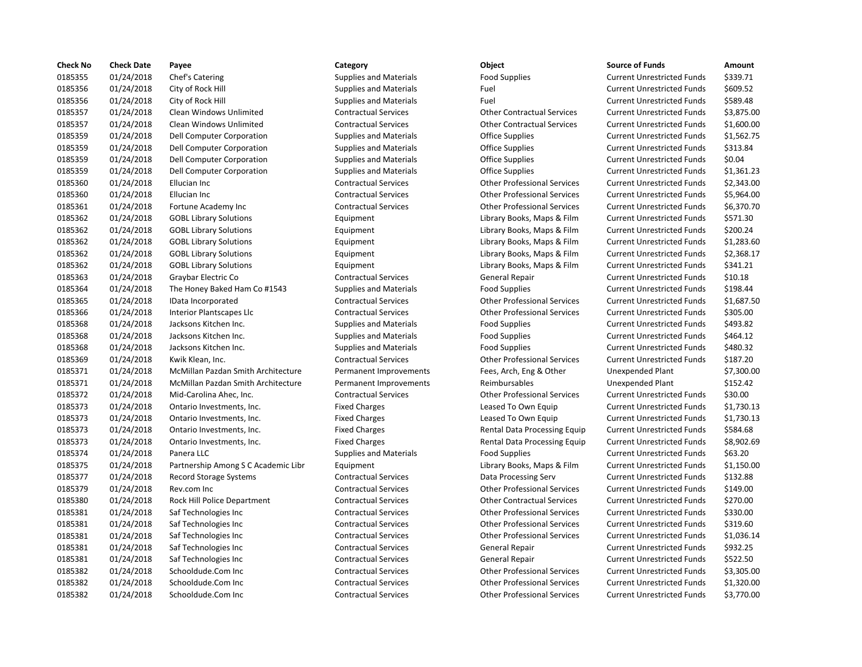| <b>Check No</b> | <b>Check Date</b> | Payee                               | Category                      | Object                             | <b>Source of Funds</b>            | Amount     |
|-----------------|-------------------|-------------------------------------|-------------------------------|------------------------------------|-----------------------------------|------------|
| 0185355         | 01/24/2018        | Chef's Catering                     | <b>Supplies and Materials</b> | <b>Food Supplies</b>               | <b>Current Unrestricted Funds</b> | \$339.71   |
| 0185356         | 01/24/2018        | City of Rock Hill                   | <b>Supplies and Materials</b> | Fuel                               | <b>Current Unrestricted Funds</b> | \$609.52   |
| 0185356         | 01/24/2018        | City of Rock Hill                   | <b>Supplies and Materials</b> | Fuel                               | <b>Current Unrestricted Funds</b> | \$589.48   |
| 0185357         | 01/24/2018        | Clean Windows Unlimited             | <b>Contractual Services</b>   | <b>Other Contractual Services</b>  | <b>Current Unrestricted Funds</b> | \$3,875.0  |
| 0185357         | 01/24/2018        | Clean Windows Unlimited             | <b>Contractual Services</b>   | <b>Other Contractual Services</b>  | <b>Current Unrestricted Funds</b> | $$1,600$ . |
| 0185359         | 01/24/2018        | Dell Computer Corporation           | <b>Supplies and Materials</b> | Office Supplies                    | <b>Current Unrestricted Funds</b> | \$1,562.7  |
| 0185359         | 01/24/2018        | Dell Computer Corporation           | <b>Supplies and Materials</b> | <b>Office Supplies</b>             | <b>Current Unrestricted Funds</b> | \$313.84   |
| 0185359         | 01/24/2018        | Dell Computer Corporation           | <b>Supplies and Materials</b> | <b>Office Supplies</b>             | <b>Current Unrestricted Funds</b> | \$0.04     |
| 0185359         | 01/24/2018        | Dell Computer Corporation           | <b>Supplies and Materials</b> | <b>Office Supplies</b>             | <b>Current Unrestricted Funds</b> | \$1,361.2  |
| 0185360         | 01/24/2018        | Ellucian Inc                        | <b>Contractual Services</b>   | <b>Other Professional Services</b> | <b>Current Unrestricted Funds</b> | \$2,343.0  |
| 0185360         | 01/24/2018        | Ellucian Inc                        | <b>Contractual Services</b>   | <b>Other Professional Services</b> | <b>Current Unrestricted Funds</b> | \$5,964.0  |
| 0185361         | 01/24/2018        | Fortune Academy Inc                 | <b>Contractual Services</b>   | <b>Other Professional Services</b> | <b>Current Unrestricted Funds</b> | \$6,370.7  |
| 0185362         | 01/24/2018        | <b>GOBL Library Solutions</b>       | Equipment                     | Library Books, Maps & Film         | <b>Current Unrestricted Funds</b> | \$571.30   |
| 0185362         | 01/24/2018        | <b>GOBL Library Solutions</b>       | Equipment                     | Library Books, Maps & Film         | <b>Current Unrestricted Funds</b> | \$200.24   |
| 0185362         | 01/24/2018        | <b>GOBL Library Solutions</b>       | Equipment                     | Library Books, Maps & Film         | <b>Current Unrestricted Funds</b> | \$1,283.6  |
| 0185362         | 01/24/2018        | <b>GOBL Library Solutions</b>       | Equipment                     | Library Books, Maps & Film         | <b>Current Unrestricted Funds</b> | \$2,368.1  |
| 0185362         | 01/24/2018        | <b>GOBL Library Solutions</b>       | Equipment                     | Library Books, Maps & Film         | <b>Current Unrestricted Funds</b> | \$341.21   |
| 0185363         | 01/24/2018        | Graybar Electric Co                 | <b>Contractual Services</b>   | General Repair                     | <b>Current Unrestricted Funds</b> | \$10.18    |
| 0185364         | 01/24/2018        | The Honey Baked Ham Co #1543        | <b>Supplies and Materials</b> | <b>Food Supplies</b>               | <b>Current Unrestricted Funds</b> | \$198.44   |
| 0185365         | 01/24/2018        | IData Incorporated                  | <b>Contractual Services</b>   | <b>Other Professional Services</b> | <b>Current Unrestricted Funds</b> | \$1,687.5  |
| 0185366         | 01/24/2018        | Interior Plantscapes Llc            | <b>Contractual Services</b>   | <b>Other Professional Services</b> | <b>Current Unrestricted Funds</b> | \$305.00   |
| 0185368         | 01/24/2018        | Jacksons Kitchen Inc.               | <b>Supplies and Materials</b> | <b>Food Supplies</b>               | <b>Current Unrestricted Funds</b> | \$493.82   |
| 0185368         | 01/24/2018        | Jacksons Kitchen Inc.               | <b>Supplies and Materials</b> | <b>Food Supplies</b>               | <b>Current Unrestricted Funds</b> | \$464.12   |
| 0185368         | 01/24/2018        | Jacksons Kitchen Inc.               | <b>Supplies and Materials</b> | <b>Food Supplies</b>               | <b>Current Unrestricted Funds</b> | \$480.32   |
| 0185369         | 01/24/2018        | Kwik Klean, Inc.                    | <b>Contractual Services</b>   | <b>Other Professional Services</b> | <b>Current Unrestricted Funds</b> | \$187.20   |
| 0185371         | 01/24/2018        | McMillan Pazdan Smith Architecture  | Permanent Improvements        | Fees, Arch, Eng & Other            | <b>Unexpended Plant</b>           | \$7,300.0  |
| 0185371         | 01/24/2018        | McMillan Pazdan Smith Architecture  | Permanent Improvements        | Reimbursables                      | Unexpended Plant                  | \$152.42   |
| 0185372         | 01/24/2018        | Mid-Carolina Ahec, Inc.             | <b>Contractual Services</b>   | <b>Other Professional Services</b> | <b>Current Unrestricted Funds</b> | \$30.00    |
| 0185373         | 01/24/2018        | Ontario Investments, Inc.           | <b>Fixed Charges</b>          | Leased To Own Equip                | <b>Current Unrestricted Funds</b> | \$1,730.1  |
| 0185373         | 01/24/2018        | Ontario Investments, Inc.           | <b>Fixed Charges</b>          | Leased To Own Equip                | <b>Current Unrestricted Funds</b> | \$1,730.1  |
| 0185373         | 01/24/2018        | Ontario Investments, Inc.           | <b>Fixed Charges</b>          | Rental Data Processing Equip       | <b>Current Unrestricted Funds</b> | \$584.68   |
| 0185373         | 01/24/2018        | Ontario Investments, Inc.           | <b>Fixed Charges</b>          | Rental Data Processing Equip       | <b>Current Unrestricted Funds</b> | \$8,902.6  |
| 0185374         | 01/24/2018        | Panera LLC                          | <b>Supplies and Materials</b> | <b>Food Supplies</b>               | <b>Current Unrestricted Funds</b> | \$63.20    |
| 0185375         | 01/24/2018        | Partnership Among S C Academic Libr | Equipment                     | Library Books, Maps & Film         | <b>Current Unrestricted Funds</b> | \$1,150.0  |
| 0185377         | 01/24/2018        | Record Storage Systems              | <b>Contractual Services</b>   | Data Processing Serv               | <b>Current Unrestricted Funds</b> | \$132.88   |
| 0185379         | 01/24/2018        | Rev.com Inc                         | <b>Contractual Services</b>   | <b>Other Professional Services</b> | <b>Current Unrestricted Funds</b> | \$149.00   |
| 0185380         | 01/24/2018        | Rock Hill Police Department         | <b>Contractual Services</b>   | <b>Other Contractual Services</b>  | <b>Current Unrestricted Funds</b> | \$270.00   |
| 0185381         | 01/24/2018        | Saf Technologies Inc                | <b>Contractual Services</b>   | <b>Other Professional Services</b> | <b>Current Unrestricted Funds</b> | \$330.00   |
| 0185381         | 01/24/2018        | Saf Technologies Inc                | <b>Contractual Services</b>   | <b>Other Professional Services</b> | <b>Current Unrestricted Funds</b> | \$319.60   |
| 0185381         | 01/24/2018        | Saf Technologies Inc                | <b>Contractual Services</b>   | <b>Other Professional Services</b> | <b>Current Unrestricted Funds</b> | \$1,036.1  |
| 0185381         | 01/24/2018        | Saf Technologies Inc                | <b>Contractual Services</b>   | <b>General Repair</b>              | <b>Current Unrestricted Funds</b> | \$932.25   |
| 0185381         | 01/24/2018        | Saf Technologies Inc                | <b>Contractual Services</b>   | <b>General Repair</b>              | <b>Current Unrestricted Funds</b> | \$522.50   |
| 0185382         | 01/24/2018        | Schooldude.Com Inc                  | <b>Contractual Services</b>   | <b>Other Professional Services</b> | <b>Current Unrestricted Funds</b> | \$3,305.0  |
| 0185382         | 01/24/2018        | Schooldude.Com Inc                  | <b>Contractual Services</b>   | <b>Other Professional Services</b> | <b>Current Unrestricted Funds</b> | \$1,320.0  |
| 0185382         | 01/24/2018        | Schooldude.Com Inc                  | <b>Contractual Services</b>   | <b>Other Professional Services</b> | <b>Current Unrestricted Funds</b> | \$3,770.0  |

## Supplies and Materials **Example Supplies Current Unrestricted Funds** \$339.71 0185356 01/24/2018 City of Rock Hill Supplies and Materials Fuel Current Unrestricted Funds \$609.52 Supplies and Materials **Current Unrestricted Funds** 5589.48 0185357 01/24/2018 Clean Windows Unlimited Contractual Services Other Contractual Services Current Unrestricted Funds \$3,875.00 0185357 01/24/2018 Clean Windows Unlimited Contractual Services Other Contractual Services Current Unrestricted Funds \$1,600.00 Supplies and Materials **Current Computer Computer Current Convention** Current Unrestricted Funds \$1,562.75 Supplies and Materials **Computer Computer Computer Contract** Current Unrestricted Funds \$313.84 Supplies and Materials **Computer Computer Computer Contract** Current Unrestricted Funds \$0.04 Supplies and Materials **Current Computer Computer Current Convention** Current Unrestricted Funds \$1,361.23 Contractual Services **Current Unrestricted Funds** 52,343.00 Contractual Services **Current Inc Contractual Services** Current Unrestricted Funds \$5,964.00 0185361 01/24/2018 Fortune Academy Inc Contractual Services Other Professional Services Current Unrestricted Funds \$6,370.70 0185362 01/24/2018 GOBL Library Solutions Equipment Library Books, Maps & Film Current Unrestricted Funds \$571.30 Equipment Current Library Books, Maps & Film Current Unrestricted Funds \$200.24 0185362 01/24/2018 GOBL Library Solutions Equipment Library Books, Maps & Film Current Unrestricted Funds \$1,283.60 0185362 01/24/2018 GOBL Library Solutions Equipment Library Books, Maps & Film Current Unrestricted Funds \$2,368.17 0185362 01/24/2018 GOBL Library Solutions Equipment Library Books, Maps & Film Current Unrestricted Funds \$341.21 Contractual Services **621 Contractual Services** General Repair Current Unrestricted Funds \$10.18 Supplies and Materials The Honey Baked Ham Current Unrestricted Funds Food Supplies Current Unrestricted Funds Contractual Services **1.687.50** Other Professional Services Current Unrestricted Funds \$1,687.50 0185366 01/24/2018 Interior Plantscapes Llc Contractual Services Other Professional Services Current Unrestricted Funds \$305.00 0185368 01/24/2018 Jacksons Kitchen Inc. Supplies and Materials Food Supplies Current Unrestricted Funds \$493.82 Supplies and Materials **Supplies Food Supplies Current Unrestricted Funds** \$464.12 Supplies and Materials **Food Supplies Current Unrestricted Funds** 5480.32 Contractual Services **CONFIGHT CONTROVER CONTRACTER CONTRACTER CONTRACTER CONTRACTER CONTRACTER CONTRACTER CONTR** Permanent Improvements Fees, Arch, Eng & Other Unexpended Plant \$7,300.00 Permanent Improvements and Reimbursables and Dunexpended Plant 5152.42 0185372 01/24/2018 Mid-Carolina Ahec, Inc. Contractual Services Other Professional Services Current Unrestricted Funds \$30.00 Fixed Charges **Carrio Inc. And Argents, Inc. Argents, Inc. Argents, Inc. Argents, Inc. Argents, Inc. Argents, Inc.** Fixed Current Unrestricted Funds \$1,730.13 Fixed Charges **Carrio Inc.** Leased To Own Equip Current Unrestricted Funds \$1,730.13 Fixed Charges **1.23.3 Inc. Processing Equip** Current Unrestricted Funds \$584.68 Fixed Charges The State of Rental Data Processing Equip Current Unrestricted Funds \$8,902.69 0185374 01/24/2018 Panera LLC Supplies and Materials Food Supplies Current Unrestricted Funds \$63.20 Equipment Current Library Books, Maps & Film Current Unrestricted Funds \$1,150.00 0185377 01/24/2018 Record Storage Systems Contractual Services Data Processing Serv Current Unrestricted Funds \$132.88 0185379 01/24/2018 Rev.com Inc Contractual Services Other Professional Services Current Unrestricted Funds \$149.00 0185380 01/24/2018 Rock Hill Police Department Contractual Services Other Contractual Services Current Unrestricted Funds \$270.00 Contractual Services **Other Professional Services** Current Unrestricted Funds \$330.00 Contractual Services **Contractual Services** Other Professional Services Current Unrestricted Funds \$319.60 Contractual Services **COLOGIES INC CONTRACTE:** Other Professional Services Current Unrestricted Funds \$1,036.14 Contractual Services **Contractual Services** General Repair Current Unrestricted Funds \$932.25 Contractual Services **Contractual Services** General Repair **Current Unrestricted Funds** \$522.50 Contractual Services **Come Inc. Com Inc.** Com Current Unrestricted Funds \$3,305.00 0185382 01/24/2018 Schooldude.Com Inc Contractual Services Other Professional Services Current Unrestricted Funds \$1,320.00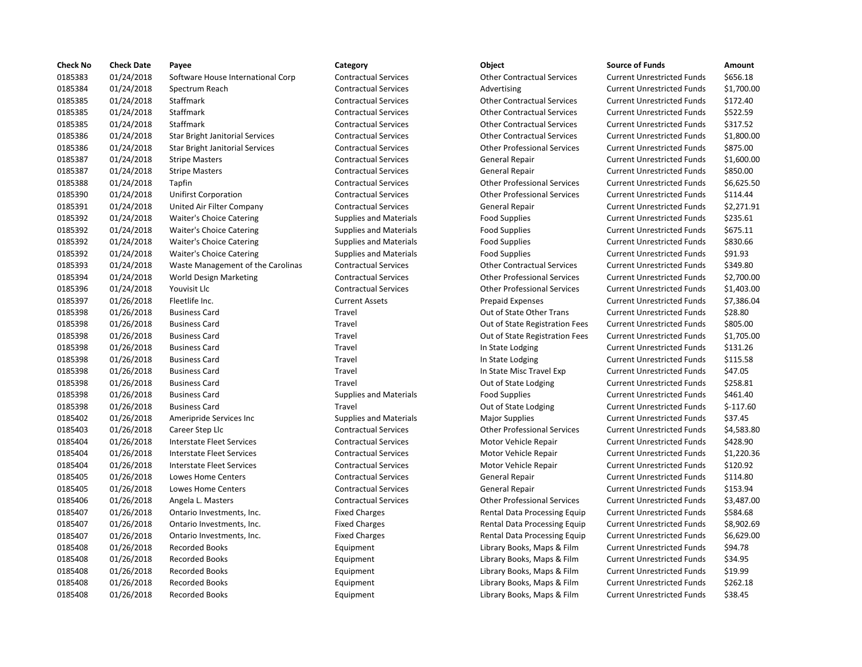| <b>Check No</b> | <b>Check Date</b> | Payee                                  | Category                      | Object                             | <b>Source of Funds</b>            | Amount     |
|-----------------|-------------------|----------------------------------------|-------------------------------|------------------------------------|-----------------------------------|------------|
| 0185383         | 01/24/2018        | Software House International Corp      | <b>Contractual Services</b>   | <b>Other Contractual Services</b>  | <b>Current Unrestricted Funds</b> | \$656.18   |
| 0185384         | 01/24/2018        | Spectrum Reach                         | <b>Contractual Services</b>   | Advertising                        | <b>Current Unrestricted Funds</b> | \$1,700.0  |
| 0185385         | 01/24/2018        | Staffmark                              | <b>Contractual Services</b>   | <b>Other Contractual Services</b>  | <b>Current Unrestricted Funds</b> | \$172.40   |
| 0185385         | 01/24/2018        | Staffmark                              | <b>Contractual Services</b>   | <b>Other Contractual Services</b>  | <b>Current Unrestricted Funds</b> | \$522.59   |
| 0185385         | 01/24/2018        | Staffmark                              | <b>Contractual Services</b>   | <b>Other Contractual Services</b>  | <b>Current Unrestricted Funds</b> | \$317.52   |
| 0185386         | 01/24/2018        | <b>Star Bright Janitorial Services</b> | <b>Contractual Services</b>   | <b>Other Contractual Services</b>  | <b>Current Unrestricted Funds</b> | $$1,800$ . |
| 0185386         | 01/24/2018        | <b>Star Bright Janitorial Services</b> | <b>Contractual Services</b>   | <b>Other Professional Services</b> | <b>Current Unrestricted Funds</b> | \$875.00   |
| 0185387         | 01/24/2018        | <b>Stripe Masters</b>                  | <b>Contractual Services</b>   | <b>General Repair</b>              | <b>Current Unrestricted Funds</b> | \$1,600.0  |
| 0185387         | 01/24/2018        | <b>Stripe Masters</b>                  | <b>Contractual Services</b>   | <b>General Repair</b>              | <b>Current Unrestricted Funds</b> | \$850.00   |
| 0185388         | 01/24/2018        | Tapfin                                 | <b>Contractual Services</b>   | <b>Other Professional Services</b> | <b>Current Unrestricted Funds</b> | \$6,625.5  |
| 0185390         | 01/24/2018        | <b>Unifirst Corporation</b>            | <b>Contractual Services</b>   | <b>Other Professional Services</b> | <b>Current Unrestricted Funds</b> | \$114.44   |
| 0185391         | 01/24/2018        | United Air Filter Company              | <b>Contractual Services</b>   | <b>General Repair</b>              | <b>Current Unrestricted Funds</b> | \$2,271.9  |
| 0185392         | 01/24/2018        | <b>Waiter's Choice Catering</b>        | <b>Supplies and Materials</b> | <b>Food Supplies</b>               | <b>Current Unrestricted Funds</b> | \$235.61   |
| 0185392         | 01/24/2018        | <b>Waiter's Choice Catering</b>        | <b>Supplies and Materials</b> | <b>Food Supplies</b>               | <b>Current Unrestricted Funds</b> | \$675.11   |
| 0185392         | 01/24/2018        | <b>Waiter's Choice Catering</b>        | <b>Supplies and Materials</b> | <b>Food Supplies</b>               | <b>Current Unrestricted Funds</b> | \$830.66   |
| 0185392         | 01/24/2018        | <b>Waiter's Choice Catering</b>        | <b>Supplies and Materials</b> | <b>Food Supplies</b>               | <b>Current Unrestricted Funds</b> | \$91.93    |
| 0185393         | 01/24/2018        | Waste Management of the Carolinas      | <b>Contractual Services</b>   | <b>Other Contractual Services</b>  | <b>Current Unrestricted Funds</b> | \$349.80   |
| 0185394         | 01/24/2018        | World Design Marketing                 | <b>Contractual Services</b>   | <b>Other Professional Services</b> | <b>Current Unrestricted Funds</b> | \$2,700.0  |
| 0185396         | 01/24/2018        | Youvisit Llc                           | <b>Contractual Services</b>   | <b>Other Professional Services</b> | <b>Current Unrestricted Funds</b> | \$1,403.0  |
| 0185397         | 01/26/2018        | Fleetlife Inc.                         | <b>Current Assets</b>         | <b>Prepaid Expenses</b>            | <b>Current Unrestricted Funds</b> | \$7,386.0  |
| 0185398         | 01/26/2018        | <b>Business Card</b>                   | Travel                        | Out of State Other Trans           | <b>Current Unrestricted Funds</b> | \$28.80    |
| 0185398         | 01/26/2018        | <b>Business Card</b>                   | Travel                        | Out of State Registration Fees     | <b>Current Unrestricted Funds</b> | \$805.00   |
| 0185398         | 01/26/2018        | <b>Business Card</b>                   | Travel                        | Out of State Registration Fees     | <b>Current Unrestricted Funds</b> | \$1,705.0  |
| 0185398         | 01/26/2018        | <b>Business Card</b>                   | Travel                        | In State Lodging                   | <b>Current Unrestricted Funds</b> | \$131.26   |
| 0185398         | 01/26/2018        | <b>Business Card</b>                   | Travel                        | In State Lodging                   | <b>Current Unrestricted Funds</b> | \$115.58   |
| 0185398         | 01/26/2018        | <b>Business Card</b>                   | Travel                        | In State Misc Travel Exp           | <b>Current Unrestricted Funds</b> | \$47.05    |
| 0185398         | 01/26/2018        | <b>Business Card</b>                   | Travel                        | Out of State Lodging               | <b>Current Unrestricted Funds</b> | \$258.81   |
| 0185398         | 01/26/2018        | <b>Business Card</b>                   | <b>Supplies and Materials</b> | <b>Food Supplies</b>               | <b>Current Unrestricted Funds</b> | \$461.40   |
| 0185398         | 01/26/2018        | <b>Business Card</b>                   | Travel                        | Out of State Lodging               | <b>Current Unrestricted Funds</b> | $$-117.60$ |
| 0185402         | 01/26/2018        | Ameripride Services Inc                | <b>Supplies and Materials</b> | <b>Major Supplies</b>              | <b>Current Unrestricted Funds</b> | \$37.45    |
| 0185403         | 01/26/2018        | Career Step Llc                        | <b>Contractual Services</b>   | <b>Other Professional Services</b> | <b>Current Unrestricted Funds</b> | \$4,583.8  |
| 0185404         | 01/26/2018        | <b>Interstate Fleet Services</b>       | <b>Contractual Services</b>   | Motor Vehicle Repair               | <b>Current Unrestricted Funds</b> | \$428.90   |
| 0185404         | 01/26/2018        | <b>Interstate Fleet Services</b>       | <b>Contractual Services</b>   | Motor Vehicle Repair               | <b>Current Unrestricted Funds</b> | \$1,220.3  |
| 0185404         | 01/26/2018        | <b>Interstate Fleet Services</b>       | <b>Contractual Services</b>   | Motor Vehicle Repair               | <b>Current Unrestricted Funds</b> | \$120.92   |
| 0185405         | 01/26/2018        | Lowes Home Centers                     | <b>Contractual Services</b>   | <b>General Repair</b>              | <b>Current Unrestricted Funds</b> | \$114.80   |
| 0185405         | 01/26/2018        | Lowes Home Centers                     | <b>Contractual Services</b>   | <b>General Repair</b>              | <b>Current Unrestricted Funds</b> | \$153.94   |
| 0185406         | 01/26/2018        | Angela L. Masters                      | <b>Contractual Services</b>   | <b>Other Professional Services</b> | <b>Current Unrestricted Funds</b> | \$3,487.0  |
| 0185407         | 01/26/2018        | Ontario Investments, Inc.              | <b>Fixed Charges</b>          | Rental Data Processing Equip       | <b>Current Unrestricted Funds</b> | \$584.68   |
| 0185407         | 01/26/2018        | Ontario Investments, Inc.              | <b>Fixed Charges</b>          | Rental Data Processing Equip       | <b>Current Unrestricted Funds</b> | \$8,902.6  |
| 0185407         | 01/26/2018        | Ontario Investments, Inc.              | <b>Fixed Charges</b>          | Rental Data Processing Equip       | <b>Current Unrestricted Funds</b> | \$6,629.0  |
| 0185408         | 01/26/2018        | <b>Recorded Books</b>                  | Equipment                     | Library Books, Maps & Film         | <b>Current Unrestricted Funds</b> | \$94.78    |
| 0185408         | 01/26/2018        | <b>Recorded Books</b>                  | Equipment                     | Library Books, Maps & Film         | <b>Current Unrestricted Funds</b> | \$34.95    |
| 0185408         | 01/26/2018        | <b>Recorded Books</b>                  | Equipment                     | Library Books, Maps & Film         | <b>Current Unrestricted Funds</b> | \$19.99    |
| 0185408         | 01/26/2018        | <b>Recorded Books</b>                  | Equipment                     | Library Books, Maps & Film         | <b>Current Unrestricted Funds</b> | \$262.18   |
| 0185408         | 01/26/2018        | <b>Recorded Books</b>                  | Equipment                     | Library Books, Maps & Film         | <b>Current Unrestricted Funds</b> | \$38.45    |
|                 |                   |                                        |                               |                                    |                                   |            |

## Contractual Services **1.24.18 Contractual Services** Current Unrestricted Funds \$656.18 01/24/2018 Spectrum Reach Contractual Services Advertising Current Unrestricted Funds \$1,700.00 01/24/2018 Staffmark Contractual Services Other Contractual Services Current Unrestricted Funds \$172.40 01/24/2018 Staffmark Contractual Services Other Contractual Services Current Unrestricted Funds \$522.59 Contractual Services **12.538 Contractual Services** Current Unrestricted Funds \$317.52 01/24/2018 Star Bright Janitorial Services Contractual Services Other Contractual Services Current Unrestricted Funds \$1,800.00 01/24/2018 Star Bright Janitorial Services Contractual Services Other Professional Services Current Unrestricted Funds \$875.00 01/24/2018 Stripe Masters Contractual Services General Repair Current Unrestricted Funds \$1,600.00 01/24/2018 Stripe Masters Contractual Services General Repair Current Unrestricted Funds \$850.00 Contractual Services **12018 Tapmin Contractual Services** Current Unrestricted Funds \$6,625.50 01/24/2018 Unifirst Corporation Contractual Services Other Professional Services Current Unrestricted Funds \$114.44 01/24/2018 United Air Filter Company Contractual Services General Repair Current Unrestricted Funds \$2,271.91 Supplies and Materials Thoice Corrent Unrestricted Funds \$235.61 01/24/2018 Waiter's Choice Catering Supplies and Materials Food Supplies Current Unrestricted Funds \$675.11 01/24/2018 Waiter's Choice Catering Supplies and Materials Food Supplies Current Unrestricted Funds \$830.66 Supplies and Materials **Examples** Food Supplies **Current Unrestricted Funds** \$91.93 Contractual Services **Other Contractual Services** Current Unrestricted Funds \$349.80 01/24/2018 World Design Marketing Contractual Services Other Professional Services Current Unrestricted Funds \$2,700.00 Contractual Services **Other Professional Services** Current Unrestricted Funds \$1,403.00 Current Assets **Expenses** Prepaid Expenses Current Unrestricted Funds \$7,386.04 Travel **1868 Current Unrestricted Funds** 528.80 01/26/2018 Business Card Travel Out of State Registration Fees Current Unrestricted Funds \$805.00 01/26/2018 Business Card Travel Out of State Registration Fees Current Unrestricted Funds \$1,705.00 Travel **1868 1218 In State Lodging Current Unrestricted Funds** \$131.26 Travel **118539 12028 In State Lodging Current Unrestricted Funds** \$115.58 01/26/2018 Business Card Travel In State Misc Travel Exp Current Unrestricted Funds \$47.05 Travel **1868** 0018 Out of State Lodging Current Unrestricted Funds \$258.81 01/26/2018 Business Card Supplies and Materials Food Supplies Current Unrestricted Funds \$461.40 Travel **1208 1203** Out of State Lodging Current Unrestricted Funds \$-117.60 01/26/2018 Ameripride Services Inc Supplies and Materials Major Supplies Current Unrestricted Funds \$37.45 01/26/2018 Career Step Llc Contractual Services Other Professional Services Current Unrestricted Funds \$4,583.80 01/26/2018 Interstate Fleet Services Contractual Services Motor Vehicle Repair Current Unrestricted Funds \$428.90 01/26/2018 Interstate Fleet Services Contractual Services Motor Vehicle Repair Current Unrestricted Funds \$1,220.36 01/26/2018 Interstate Fleet Services Contractual Services Motor Vehicle Repair Current Unrestricted Funds \$120.92 Contractual Services **6**114.80 General Repair **Current Unrestricted Funds** \$114.80 01/26/2018 Lowes Home Centers Contractual Services General Repair Current Unrestricted Funds \$153.94 01/26/2018 Angela L. Masters Contractual Services Other Professional Services Current Unrestricted Funds \$3,487.00 Fixed Charges **Charges** Rental Data Processing Equip Current Unrestricted Funds \$584.68 Fixed Charges **Charges** Rental Data Processing Equip Current Unrestricted Funds \$8,902.69 Fixed Charges **Charges** Rental Data Processing Equip Current Unrestricted Funds \$6,629.00 01/26/2018 Recorded Books Equipment Library Books, Maps & Film Current Unrestricted Funds \$94.78 01/26/2018 Recorded Books Equipment Library Books, Maps & Film Current Unrestricted Funds \$34.95 01/26/2018 Recorded Books Equipment Library Books, Maps & Film Current Unrestricted Funds \$19.99 01/26/2018 Recorded Books Equipment Library Books, Maps & Film Current Unrestricted Funds \$262.18